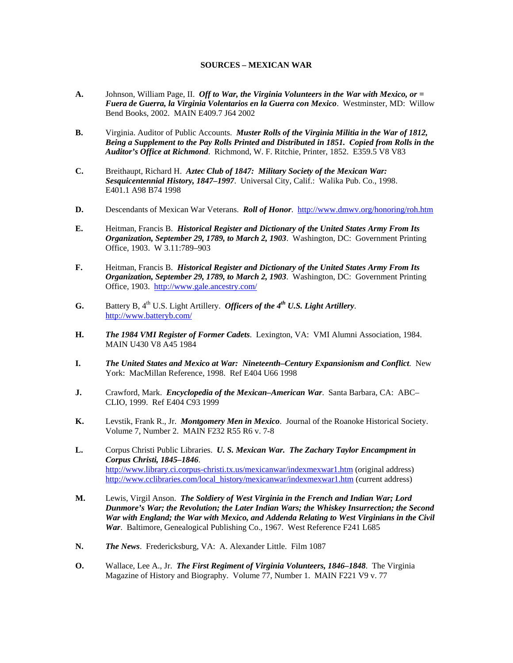## **SOURCES – MEXICAN WAR**

- **A.** Johnson, William Page, II. *Off to War, the Virginia Volunteers in the War with Mexico, or = Fuera de Guerra, la Virginia Volentarios en la Guerra con Mexico*. Westminster, MD: Willow Bend Books, 2002. MAIN E409.7 J64 2002
- **B.** Virginia. Auditor of Public Accounts. *Muster Rolls of the Virginia Militia in the War of 1812, Being a Supplement to the Pay Rolls Printed and Distributed in 1851. Copied from Rolls in the Auditor's Office at Richmond*. Richmond, W. F. Ritchie, Printer, 1852. E359.5 V8 V83
- **C.** Breithaupt, Richard H. *Aztec Club of 1847: Military Society of the Mexican War: Sesquicentennial History, 1847–1997*. Universal City, Calif.: Walika Pub. Co., 1998. E401.1 A98 B74 1998
- **D.** Descendants of Mexican War Veterans. *Roll of Honor*. <http://www.dmwv.org/honoring/roh.htm>
- **E.** Heitman, Francis B. *Historical Register and Dictionary of the United States Army From Its Organization, September 29, 1789, to March 2, 1903*. Washington, DC: Government Printing Office, 1903. W 3.11:789–903
- **F.** Heitman, Francis B. *Historical Register and Dictionary of the United States Army From Its Organization, September 29, 1789, to March 2, 1903*. Washington, DC: Government Printing Office, 1903. <http://www.gale.ancestry.com/>
- **G.** Battery B,  $4^{th}$  U.S. Light Artillery. *Officers of the*  $4^{th}$  U.S. Light Artillery. <http://www.batteryb.com/>
- **H.** *The 1984 VMI Register of Former Cadets*. Lexington, VA: VMI Alumni Association, 1984. MAIN U430 V8 A45 1984
- **I.** *The United States and Mexico at War: Nineteenth–Century Expansionism and Conflict*. New York: MacMillan Reference, 1998. Ref E404 U66 1998
- **J.** Crawford, Mark. *Encyclopedia of the Mexican–American War*. Santa Barbara, CA: ABC– CLIO, 1999. Ref E404 C93 1999
- **K.** Levstik, Frank R., Jr. *Montgomery Men in Mexico*. Journal of the Roanoke Historical Society. Volume 7, Number 2. MAIN F232 R55 R6 v. 7-8
- **L.** Corpus Christi Public Libraries. *U. S. Mexican War. The Zachary Taylor Encampment in Corpus Christi, 1845–1846*. <http://www.library.ci.corpus-christi.tx.us/mexicanwar/indexmexwar1.htm> (original address) http://www.cclibraries.com/local\_history/mexicanwar/indexmexwar1.htm (current address)
- **M.** Lewis, Virgil Anson. *The Soldiery of West Virginia in the French and Indian War; Lord Dunmore's War; the Revolution; the Later Indian Wars; the Whiskey Insurrection; the Second War with England; the War with Mexico, and Addenda Relating to West Virginians in the Civil War*. Baltimore, Genealogical Publishing Co., 1967. West Reference F241 L685
- **N.** *The News*. Fredericksburg, VA: A. Alexander Little. Film 1087
- **O.** Wallace, Lee A., Jr. *The First Regiment of Virginia Volunteers, 1846–1848*. The Virginia Magazine of History and Biography. Volume 77, Number 1. MAIN F221 V9 v. 77